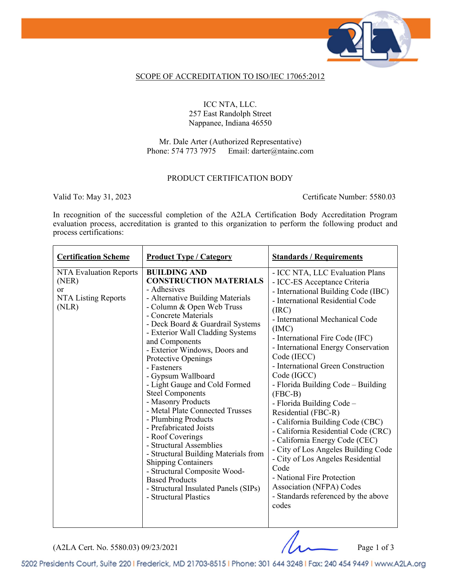

## SCOPE OF ACCREDITATION TO ISO/IEC 17065:2012

ICC NTA, LLC. 257 East Randolph Street Nappanee, Indiana 46550

Mr. Dale Arter (Authorized Representative)<br>Phone: 574 773 7975 Email: darter@ntainc.c Email: darter@ntainc.com

## PRODUCT CERTIFICATION BODY

Valid To: May 31, 2023 Certificate Number: 5580.03

In recognition of the successful completion of the A2LA Certification Body Accreditation Program evaluation process, accreditation is granted to this organization to perform the following product and process certifications:

| <b>Certification Scheme</b>                                           | <b>Product Type / Category</b>                                                                                                                                                                                                                                                                                                                                                                                                                                                                                                                                                                                                                                                                                                                                           | <b>Standards / Requirements</b>                                                                                                                                                                                                                                                                                                                                                                                                                                                                                                                                                                                                                                                                                                                                |
|-----------------------------------------------------------------------|--------------------------------------------------------------------------------------------------------------------------------------------------------------------------------------------------------------------------------------------------------------------------------------------------------------------------------------------------------------------------------------------------------------------------------------------------------------------------------------------------------------------------------------------------------------------------------------------------------------------------------------------------------------------------------------------------------------------------------------------------------------------------|----------------------------------------------------------------------------------------------------------------------------------------------------------------------------------------------------------------------------------------------------------------------------------------------------------------------------------------------------------------------------------------------------------------------------------------------------------------------------------------------------------------------------------------------------------------------------------------------------------------------------------------------------------------------------------------------------------------------------------------------------------------|
| NTA Evaluation Reports<br>(NER)<br>or<br>NTA Listing Reports<br>(NLR) | <b>BUILDING AND</b><br><b>CONSTRUCTION MATERIALS</b><br>- Adhesives<br>- Alternative Building Materials<br>- Column & Open Web Truss<br>- Concrete Materials<br>- Deck Board & Guardrail Systems<br>- Exterior Wall Cladding Systems<br>and Components<br>- Exterior Windows, Doors and<br>Protective Openings<br>- Fasteners<br>- Gypsum Wallboard<br>- Light Gauge and Cold Formed<br><b>Steel Components</b><br>- Masonry Products<br>- Metal Plate Connected Trusses<br>- Plumbing Products<br>- Prefabricated Joists<br>- Roof Coverings<br>- Structural Assemblies<br>- Structural Building Materials from<br><b>Shipping Containers</b><br>- Structural Composite Wood-<br><b>Based Products</b><br>- Structural Insulated Panels (SIPs)<br>- Structural Plastics | - ICC NTA, LLC Evaluation Plans<br>- ICC-ES Acceptance Criteria<br>- International Building Code (IBC)<br>- International Residential Code<br>(IRC)<br>- International Mechanical Code<br>(MC)<br>- International Fire Code (IFC)<br>- International Energy Conservation<br>Code (IECC)<br>- International Green Construction<br>Code (IGCC)<br>- Florida Building Code – Building<br>$(FBC-B)$<br>- Florida Building Code -<br>Residential (FBC-R)<br>- California Building Code (CBC)<br>- California Residential Code (CRC)<br>- California Energy Code (CEC)<br>- City of Los Angeles Building Code<br>- City of Los Angeles Residential<br>Code<br>- National Fire Protection<br>Association (NFPA) Codes<br>- Standards referenced by the above<br>codes |

 $(A2LA$  Cert. No. 5580.03) 09/23/2021 Page 1 of 3

5202 Presidents Court, Suite 220 | Frederick, MD 21703-8515 | Phone: 301 644 3248 | Fax: 240 454 9449 | www.A2LA.org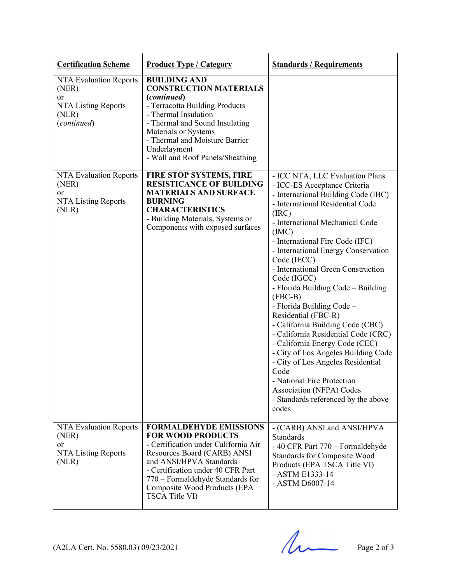| <b>Certification Scheme</b>                                                                 | <b>Product Type / Category</b>                                                                                                                                                                                                                                                         | <b>Standards / Requirements</b>                                                                                                                                                                                                                                                                                                                                                                                                                                                                                                                                                                                                                                                                                                                                |
|---------------------------------------------------------------------------------------------|----------------------------------------------------------------------------------------------------------------------------------------------------------------------------------------------------------------------------------------------------------------------------------------|----------------------------------------------------------------------------------------------------------------------------------------------------------------------------------------------------------------------------------------------------------------------------------------------------------------------------------------------------------------------------------------------------------------------------------------------------------------------------------------------------------------------------------------------------------------------------------------------------------------------------------------------------------------------------------------------------------------------------------------------------------------|
| NTA Evaluation Reports<br>(NER)<br><b>or</b><br>NTA Listing Reports<br>(NLR)<br>(continued) | <b>BUILDING AND</b><br><b>CONSTRUCTION MATERIALS</b><br>(continued)<br>- Terracotta Building Products<br>- Thermal Insulation<br>- Thermal and Sound Insulating<br>Materials or Systems<br>- Thermal and Moisture Barrier<br>Underlayment<br>- Wall and Roof Panels/Sheathing          |                                                                                                                                                                                                                                                                                                                                                                                                                                                                                                                                                                                                                                                                                                                                                                |
| NTA Evaluation Reports<br>(NER)<br><sub>or</sub><br>NTA Listing Reports<br>(NLR)            | <b>FIRE STOP SYSTEMS, FIRE</b><br><b>RESISTICANCE OF BUILDING</b><br><b>MATERIALS AND SURFACE</b><br><b>BURNING</b><br><b>CHARACTERISTICS</b><br>- Building Materials, Systems or<br>Components with exposed surfaces                                                                  | - ICC NTA, LLC Evaluation Plans<br>- ICC-ES Acceptance Criteria<br>- International Building Code (IBC)<br>- International Residential Code<br>(IRC)<br>- International Mechanical Code<br>(MC)<br>- International Fire Code (IFC)<br>- International Energy Conservation<br>Code (IECC)<br>- International Green Construction<br>Code (IGCC)<br>- Florida Building Code – Building<br>$(FBC-B)$<br>- Florida Building Code -<br>Residential (FBC-R)<br>- California Building Code (CBC)<br>- California Residential Code (CRC)<br>- California Energy Code (CEC)<br>- City of Los Angeles Building Code<br>- City of Los Angeles Residential<br>Code<br>- National Fire Protection<br>Association (NFPA) Codes<br>- Standards referenced by the above<br>codes |
| <b>NTA Evaluation Reports</b><br>(NER)<br><b>or</b><br>NTA Listing Reports<br>(NLR)         | <b>FORMALDEHYDE EMISSIONS</b><br><b>FOR WOOD PRODUCTS</b><br>- Certification under California Air<br>Resources Board (CARB) ANSI<br>and ANSI/HPVA Standards<br>- Certification under 40 CFR Part<br>770 – Formaldehyde Standards for<br>Composite Wood Products (EPA<br>TSCA Title VI) | - (CARB) ANSI and ANSI/HPVA<br><b>Standards</b><br>-40 CFR Part 770 – Formaldehyde<br>Standards for Composite Wood<br>Products (EPA TSCA Title VI)<br>- ASTM E1333-14<br>- ASTM D6007-14                                                                                                                                                                                                                                                                                                                                                                                                                                                                                                                                                                       |

 $(A2LA$  Cert. No. 5580.03) 09/23/2021 Page 2 of 3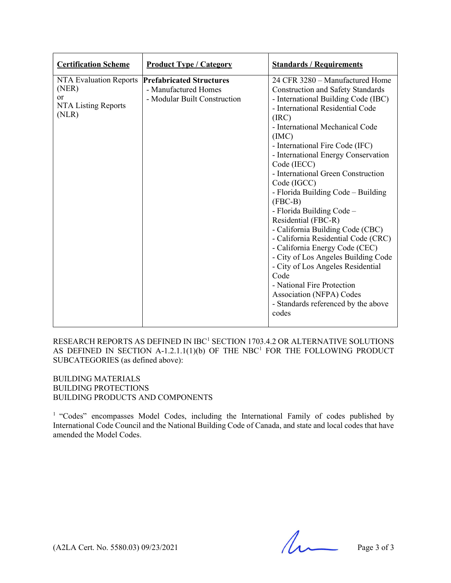| <b>Certification Scheme</b>                                                         | <b>Product Type / Category</b>                                                          | <b>Standards / Requirements</b>                                                                                                                                                                                                                                                                                                                                                                                                                                                                                                                                                                                                                                                                                                                                                   |
|-------------------------------------------------------------------------------------|-----------------------------------------------------------------------------------------|-----------------------------------------------------------------------------------------------------------------------------------------------------------------------------------------------------------------------------------------------------------------------------------------------------------------------------------------------------------------------------------------------------------------------------------------------------------------------------------------------------------------------------------------------------------------------------------------------------------------------------------------------------------------------------------------------------------------------------------------------------------------------------------|
| <b>NTA Evaluation Reports</b><br>(NER)<br><b>or</b><br>NTA Listing Reports<br>(NLR) | <b>Prefabricated Structures</b><br>- Manufactured Homes<br>- Modular Built Construction | 24 CFR 3280 - Manufactured Home<br><b>Construction and Safety Standards</b><br>- International Building Code (IBC)<br>- International Residential Code<br>(IRC)<br>- International Mechanical Code<br>(MC)<br>- International Fire Code (IFC)<br>- International Energy Conservation<br>Code (IECC)<br>- International Green Construction<br>Code (IGCC)<br>- Florida Building Code – Building<br>$(FBC-B)$<br>- Florida Building Code -<br>Residential (FBC-R)<br>- California Building Code (CBC)<br>- California Residential Code (CRC)<br>- California Energy Code (CEC)<br>- City of Los Angeles Building Code<br>- City of Los Angeles Residential<br>Code<br>- National Fire Protection<br><b>Association (NFPA) Codes</b><br>- Standards referenced by the above<br>codes |

RESEARCH REPORTS AS DEFINED IN IBC<sup>1</sup> SECTION 1703.4.2 OR ALTERNATIVE SOLUTIONS AS DEFINED IN SECTION A-1.2.1.1 $(1)(b)$  OF THE NBC<sup>1</sup> FOR THE FOLLOWING PRODUCT SUBCATEGORIES (as defined above):

BUILDING MATERIALS BUILDING PROTECTIONS BUILDING PRODUCTS AND COMPONENTS

<sup>1</sup> "Codes" encompasses Model Codes, including the International Family of codes published by International Code Council and the National Building Code of Canada, and state and local codes that have amended the Model Codes.

 $(A2LA$  Cert. No. 5580.03) 09/23/2021 Page 3 of 3